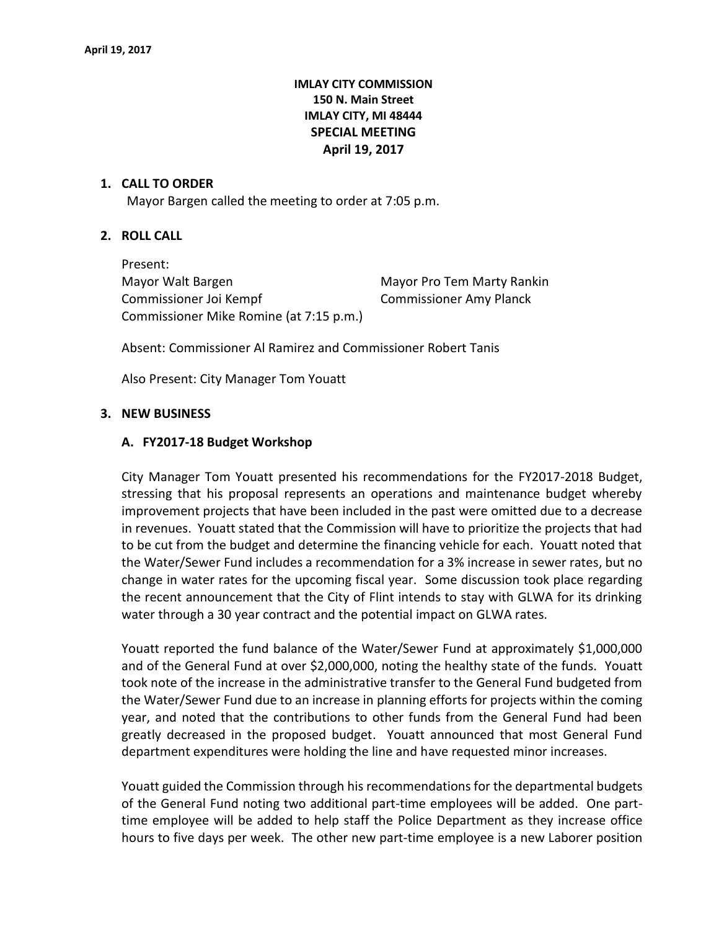# **IMLAY CITY COMMISSION 150 N. Main Street IMLAY CITY, MI 48444 SPECIAL MEETING April 19, 2017**

### **1. CALL TO ORDER**

Mayor Bargen called the meeting to order at 7:05 p.m.

# **2. ROLL CALL**

Present: Mayor Walt Bargen Manus Mayor Pro Tem Marty Rankin Commissioner Joi Kempf Commissioner Amy Planck Commissioner Mike Romine (at 7:15 p.m.)

Absent: Commissioner Al Ramirez and Commissioner Robert Tanis

Also Present: City Manager Tom Youatt

### **3. NEW BUSINESS**

#### **A. FY2017-18 Budget Workshop**

City Manager Tom Youatt presented his recommendations for the FY2017-2018 Budget, stressing that his proposal represents an operations and maintenance budget whereby improvement projects that have been included in the past were omitted due to a decrease in revenues. Youatt stated that the Commission will have to prioritize the projects that had to be cut from the budget and determine the financing vehicle for each. Youatt noted that the Water/Sewer Fund includes a recommendation for a 3% increase in sewer rates, but no change in water rates for the upcoming fiscal year. Some discussion took place regarding the recent announcement that the City of Flint intends to stay with GLWA for its drinking water through a 30 year contract and the potential impact on GLWA rates.

Youatt reported the fund balance of the Water/Sewer Fund at approximately \$1,000,000 and of the General Fund at over \$2,000,000, noting the healthy state of the funds. Youatt took note of the increase in the administrative transfer to the General Fund budgeted from the Water/Sewer Fund due to an increase in planning efforts for projects within the coming year, and noted that the contributions to other funds from the General Fund had been greatly decreased in the proposed budget. Youatt announced that most General Fund department expenditures were holding the line and have requested minor increases.

Youatt guided the Commission through his recommendations for the departmental budgets of the General Fund noting two additional part-time employees will be added. One parttime employee will be added to help staff the Police Department as they increase office hours to five days per week. The other new part-time employee is a new Laborer position